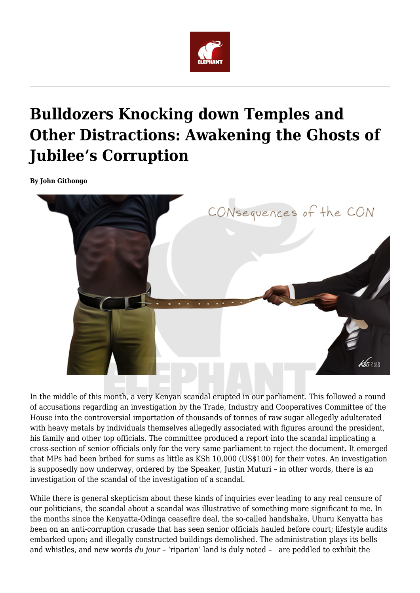

# **Bulldozers Knocking down Temples and Other Distractions: Awakening the Ghosts of Jubilee's Corruption**

**By John Githongo**



In the middle of this month, a very Kenyan scandal erupted in our parliament. This followed a round of accusations regarding an investigation by the Trade, Industry and Cooperatives Committee of the House into the controversial importation of thousands of tonnes of raw sugar allegedly adulterated with heavy metals by individuals themselves allegedly associated with figures around the president, his family and other top officials. The committee produced a report into the scandal implicating a cross-section of senior officials only for the very same parliament to reject the document. It emerged that MPs had been bribed for sums as little as KSh 10,000 (US\$100) for their votes. An investigation is supposedly now underway, ordered by the Speaker, Justin Muturi – in other words, there is an investigation of the scandal of the investigation of a scandal.

While there is general skepticism about these kinds of inquiries ever leading to any real censure of our politicians, the scandal about a scandal was illustrative of something more significant to me. In the months since the Kenyatta-Odinga ceasefire deal, the so-called handshake, Uhuru Kenyatta has been on an anti-corruption crusade that has seen senior officials hauled before court; lifestyle audits embarked upon; and illegally constructed buildings demolished. The administration plays its bells and whistles, and new words *du jour* – 'riparian' land is duly noted – are peddled to exhibit the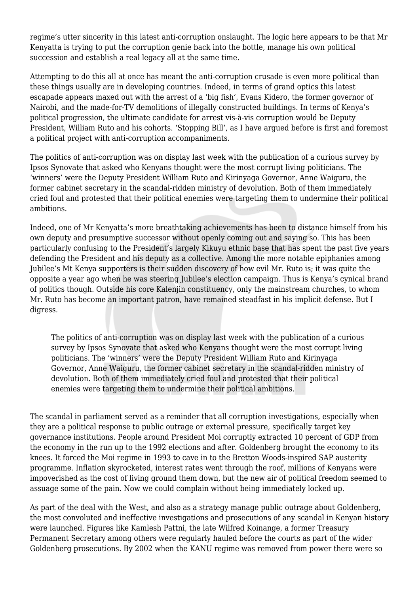regime's utter sincerity in this latest anti-corruption onslaught. The logic here appears to be that Mr Kenyatta is trying to put the corruption genie back into the bottle, manage his own political succession and establish a real legacy all at the same time.

Attempting to do this all at once has meant the anti-corruption crusade is even more political than these things usually are in developing countries. Indeed, in terms of grand optics this latest escapade appears maxed out with the arrest of a 'big fish', Evans Kidero, the former governor of Nairobi, and the made-for-TV demolitions of illegally constructed buildings. In terms of Kenya's political progression, the ultimate candidate for arrest vis-à-vis corruption would be Deputy President, William Ruto and his cohorts. 'Stopping Bill', as I have argued before is first and foremost a political project with anti-corruption accompaniments.

The politics of anti-corruption was on display last week with the publication of a curious survey by Ipsos Synovate that asked who Kenyans thought were the most corrupt living politicians. The 'winners' were the Deputy President William Ruto and Kirinyaga Governor, Anne Waiguru, the former cabinet secretary in the scandal-ridden ministry of devolution. Both of them immediately cried foul and protested that their political enemies were targeting them to undermine their political ambitions.

Indeed, one of Mr Kenyatta's more breathtaking achievements has been to distance himself from his own deputy and presumptive successor without openly coming out and saying so. This has been particularly confusing to the President's largely Kikuyu ethnic base that has spent the past five years defending the President and his deputy as a collective. Among the more notable epiphanies among Jubilee's Mt Kenya supporters is their sudden discovery of how evil Mr. Ruto is; it was quite the opposite a year ago when he was steering Jubilee's election campaign. Thus is Kenya's cynical brand of politics though. Outside his core Kalenjin constituency, only the mainstream churches, to whom Mr. Ruto has become an important patron, have remained steadfast in his implicit defense. But I digress.

The politics of anti-corruption was on display last week with the publication of a curious survey by Ipsos Synovate that asked who Kenyans thought were the most corrupt living politicians. The 'winners' were the Deputy President William Ruto and Kirinyaga Governor, Anne Waiguru, the former cabinet secretary in the scandal-ridden ministry of devolution. Both of them immediately cried foul and protested that their political enemies were targeting them to undermine their political ambitions.

The scandal in parliament served as a reminder that all corruption investigations, especially when they are a political response to public outrage or external pressure, specifically target key governance institutions. People around President Moi corruptly extracted 10 percent of GDP from the economy in the run up to the 1992 elections and after. Goldenberg brought the economy to its knees. It forced the Moi regime in 1993 to cave in to the Bretton Woods-inspired SAP austerity programme. Inflation skyrocketed, interest rates went through the roof, millions of Kenyans were impoverished as the cost of living ground them down, but the new air of political freedom seemed to assuage some of the pain. Now we could complain without being immediately locked up.

As part of the deal with the West, and also as a strategy manage public outrage about Goldenberg, the most convoluted and ineffective investigations and prosecutions of any scandal in Kenyan history were launched. Figures like Kamlesh Pattni, the late Wilfred Koinange, a former Treasury Permanent Secretary among others were regularly hauled before the courts as part of the wider Goldenberg prosecutions. By 2002 when the KANU regime was removed from power there were so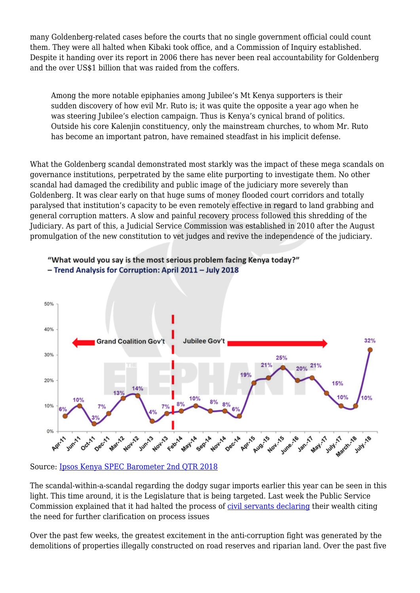many Goldenberg-related cases before the courts that no single government official could count them. They were all halted when Kibaki took office, and a Commission of Inquiry established. Despite it handing over its report in 2006 there has never been real accountability for Goldenberg and the over US\$1 billion that was raided from the coffers.

Among the more notable epiphanies among Jubilee's Mt Kenya supporters is their sudden discovery of how evil Mr. Ruto is; it was quite the opposite a year ago when he was steering Jubilee's election campaign. Thus is Kenya's cynical brand of politics. Outside his core Kalenjin constituency, only the mainstream churches, to whom Mr. Ruto has become an important patron, have remained steadfast in his implicit defense.

What the Goldenberg scandal demonstrated most starkly was the impact of these mega scandals on governance institutions, perpetrated by the same elite purporting to investigate them. No other scandal had damaged the credibility and public image of the judiciary more severely than Goldenberg. It was clear early on that huge sums of money flooded court corridors and totally paralysed that institution's capacity to be even remotely effective in regard to land grabbing and general corruption matters. A slow and painful recovery process followed this shredding of the Judiciary. As part of this, a Judicial Service Commission was established in 2010 after the August promulgation of the new constitution to vet judges and revive the independence of the judiciary.



## "What would you say is the most serious problem facing Kenya today?" - Trend Analysis for Corruption: April 2011 - July 2018

Source: [Ipsos Kenya SPEC Barometer 2nd QTR 2018](https://www.theelephant.info/documents/ipsos-kenya-spec-barometer-2nd-qtr-2018-press-release/)

The scandal-within-a-scandal regarding the dodgy sugar imports earlier this year can be seen in this light. This time around, it is the Legislature that is being targeted. Last week the Public Service Commission explained that it had halted the process of [civil servants declaring](https://www.businessdailyafrica.com/economy/Wealth-declaration-order-for-civil-servants/3946234-4723046-wryyx8z/index.html).) their wealth citing the need for further clarification on process issues

Over the past few weeks, the greatest excitement in the anti-corruption fight was generated by the demolitions of properties illegally constructed on road reserves and riparian land. Over the past five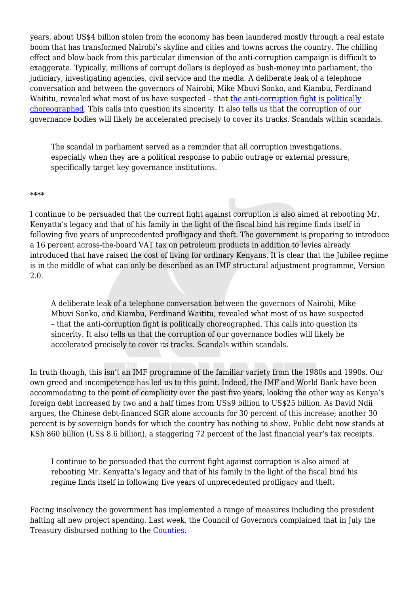years, about US\$4 billion stolen from the economy has been laundered mostly through a real estate boom that has transformed Nairobi's skyline and cities and towns across the country. The chilling effect and blow-back from this particular dimension of the anti-corruption campaign is difficult to exaggerate. Typically, millions of corrupt dollars is deployed as hush-money into parliament, the judiciary, investigating agencies, civil service and the media. A deliberate leak of a telephone conversation and between the governors of Nairobi, Mike Mbuvi Sonko, and Kiambu, Ferdinand Waititu, revealed what most of us have suspected – that [the anti-corruption fight is politically](https://www.youtube.com/watch?v=wpTw9ZCjJik)) [choreographed.](https://www.youtube.com/watch?v=wpTw9ZCjJik)) This calls into question its sincerity. It also tells us that the corruption of our governance bodies will likely be accelerated precisely to cover its tracks. Scandals within scandals.

The scandal in parliament served as a reminder that all corruption investigations, especially when they are a political response to public outrage or external pressure, specifically target key governance institutions.

#### **\*\*\*\***

I continue to be persuaded that the current fight against corruption is also aimed at rebooting Mr. Kenyatta's legacy and that of his family in the light of the fiscal bind his regime finds itself in following five years of unprecedented profligacy and theft. The government is preparing to introduce a 16 percent across-the-board VAT tax on petroleum products in addition to levies already introduced that have raised the cost of living for ordinary Kenyans. It is clear that the Jubilee regime is in the middle of what can only be described as an IMF structural adjustment programme, Version 2.0.

A deliberate leak of a telephone conversation between the governors of Nairobi, Mike Mbuvi Sonko, and Kiambu, Ferdinand Waititu, revealed what most of us have suspected – that the anti-corruption fight is politically choreographed. This calls into question its sincerity. It also tells us that the corruption of our governance bodies will likely be accelerated precisely to cover its tracks. Scandals within scandals.

In truth though, this isn't an IMF programme of the familiar variety from the 1980s and 1990s. Our own greed and incompetence has led us to this point. Indeed, the IMF and World Bank have been accommodating to the point of complicity over the past five years, looking the other way as Kenya's foreign debt increased by two and a half times from US\$9 billion to US\$25 billion. As David Ndii argues, the Chinese debt-financed SGR alone accounts for 30 percent of this increase; another 30 percent is by sovereign bonds for which the country has nothing to show. Public debt now stands at KSh 860 billion (US\$ 8.6 billion), a staggering 72 percent of the last financial year's tax receipts.

I continue to be persuaded that the current fight against corruption is also aimed at rebooting Mr. Kenyatta's legacy and that of his family in the light of the fiscal bind his regime finds itself in following five years of unprecedented profligacy and theft.

Facing insolvency the government has implemented a range of measures including the president halting all new project spending. Last week, the Council of Governors complained that in July the Treasury disbursed nothing to the [Counties](https://www.businessdailyafrica.com/news/counties/Counties-go-without-a-coin-from-Treasury/4003142-4720336-8mf7pu/index.html).%20().